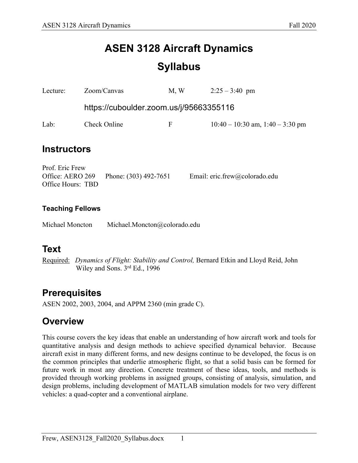# **ASEN 3128 Aircraft Dynamics Syllabus**

| Lecture:                                                 |                                         | Zoom/Canvas           | M, W |  | $2:25 - 3:40$ pm                     |  |  |  |
|----------------------------------------------------------|-----------------------------------------|-----------------------|------|--|--------------------------------------|--|--|--|
|                                                          | https://cuboulder.zoom.us/j/95663355116 |                       |      |  |                                      |  |  |  |
| Lab:                                                     | Check Online                            |                       | F    |  | $10:40 - 10:30$ am, $1:40 - 3:30$ pm |  |  |  |
| <b>Instructors</b>                                       |                                         |                       |      |  |                                      |  |  |  |
| Prof. Eric Frew<br>Office: AERO 269<br>Office Hours: TBD |                                         | Phone: (303) 492-7651 |      |  | Email: eric.frew@colorado.edu        |  |  |  |
| <b>Teaching Fellows</b>                                  |                                         |                       |      |  |                                      |  |  |  |
| Michael Moncton                                          | Michael.Moncton@colorado.edu            |                       |      |  |                                      |  |  |  |

### **Text**

Required: *Dynamics of Flight: Stability and Control,* Bernard Etkin and Lloyd Reid, John Wiley and Sons. 3rd Ed., 1996

### **Prerequisites**

ASEN 2002, 2003, 2004, and APPM 2360 (min grade C).

### **Overview**

This course covers the key ideas that enable an understanding of how aircraft work and tools for quantitative analysis and design methods to achieve specified dynamical behavior. Because aircraft exist in many different forms, and new designs continue to be developed, the focus is on the common principles that underlie atmospheric flight, so that a solid basis can be formed for future work in most any direction. Concrete treatment of these ideas, tools, and methods is provided through working problems in assigned groups, consisting of analysis, simulation, and design problems, including development of MATLAB simulation models for two very different vehicles: a quad-copter and a conventional airplane.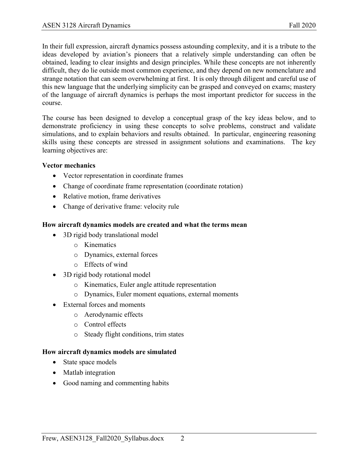In their full expression, aircraft dynamics possess astounding complexity, and it is a tribute to the ideas developed by aviation's pioneers that a relatively simple understanding can often be obtained, leading to clear insights and design principles. While these concepts are not inherently difficult, they do lie outside most common experience, and they depend on new nomenclature and strange notation that can seem overwhelming at first. It is only through diligent and careful use of this new language that the underlying simplicity can be grasped and conveyed on exams; mastery of the language of aircraft dynamics is perhaps the most important predictor for success in the course.

The course has been designed to develop a conceptual grasp of the key ideas below, and to demonstrate proficiency in using these concepts to solve problems, construct and validate simulations, and to explain behaviors and results obtained. In particular, engineering reasoning skills using these concepts are stressed in assignment solutions and examinations. The key learning objectives are:

#### **Vector mechanics**

- Vector representation in coordinate frames
- Change of coordinate frame representation (coordinate rotation)
- Relative motion, frame derivatives
- Change of derivative frame: velocity rule

#### **How aircraft dynamics models are created and what the terms mean**

- 3D rigid body translational model
	- o Kinematics
	- o Dynamics, external forces
	- o Effects of wind
- 3D rigid body rotational model
	- o Kinematics, Euler angle attitude representation
	- o Dynamics, Euler moment equations, external moments
- External forces and moments
	- o Aerodynamic effects
	- o Control effects
	- o Steady flight conditions, trim states

#### **How aircraft dynamics models are simulated**

- State space models
- Matlab integration
- Good naming and commenting habits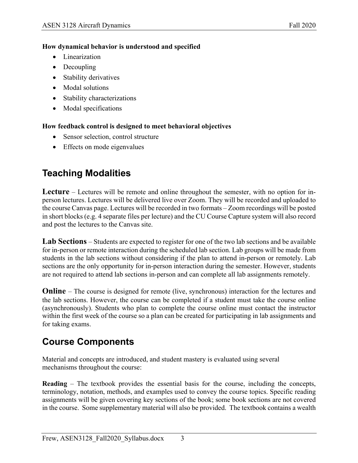### **How dynamical behavior is understood and specified**

- Linearization
- Decoupling
- Stability derivatives
- Modal solutions
- Stability characterizations
- Modal specifications

**How feedback control is designed to meet behavioral objectives**

- Sensor selection, control structure
- Effects on mode eigenvalues

# **Teaching Modalities**

**Lecture** – Lectures will be remote and online throughout the semester, with no option for inperson lectures. Lectures will be delivered live over Zoom. They will be recorded and uploaded to the course Canvas page. Lectures will be recorded in two formats – Zoom recordings will be posted in short blocks (e.g. 4 separate files per lecture) and the CU Course Capture system will also record and post the lectures to the Canvas site.

**Lab Sections** – Students are expected to register for one of the two lab sections and be available for in-person or remote interaction during the scheduled lab section. Lab groups will be made from students in the lab sections without considering if the plan to attend in-person or remotely. Lab sections are the only opportunity for in-person interaction during the semester. However, students are not required to attend lab sections in-person and can complete all lab assignments remotely.

**Online** – The course is designed for remote (live, synchronous) interaction for the lectures and the lab sections. However, the course can be completed if a student must take the course online (asynchronously). Students who plan to complete the course online must contact the instructor within the first week of the course so a plan can be created for participating in lab assignments and for taking exams.

## **Course Components**

Material and concepts are introduced, and student mastery is evaluated using several mechanisms throughout the course:

**Reading** – The textbook provides the essential basis for the course, including the concepts, terminology, notation, methods, and examples used to convey the course topics. Specific reading assignments will be given covering key sections of the book; some book sections are not covered in the course. Some supplementary material will also be provided. The textbook contains a wealth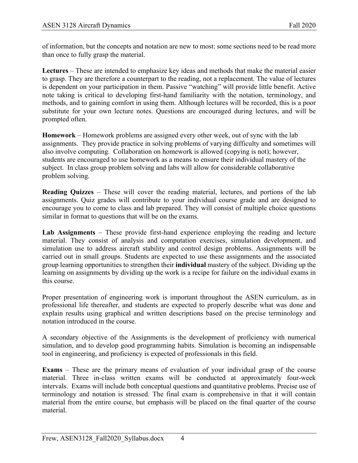of information, but the concepts and notation are new to most: some sections need to be read more than once to fully grasp the material.

**Lectures** – These are intended to emphasize key ideas and methods that make the material easier to grasp. They are therefore a counterpart to the reading, not a replacement. The value of lectures is dependent on your participation in them. Passive "watching" will provide little benefit. Active note taking is critical to developing first-hand familiarity with the notation, terminology, and methods, and to gaining comfort in using them. Although lectures will be recorded, this is a poor substitute for your own lecture notes. Questions are encouraged during lectures, and will be prompted often.

**Homework** – Homework problems are assigned every other week, out of sync with the lab assignments. They provide practice in solving problems of varying difficulty and sometimes will also involve computing. Collaboration on homework is allowed (copying is not); however, students are encouraged to use homework as a means to ensure their individual mastery of the subject. In class group problem solving and labs will allow for considerable collaborative problem solving.

**Reading Quizzes** – These will cover the reading material, lectures, and portions of the lab assignments. Quiz grades will contribute to your individual course grade and are designed to encourage you to come to class and lab prepared. They will consist of multiple choice questions similar in format to questions that will be on the exams.

**Lab Assignments** – These provide first-hand experience employing the reading and lecture material. They consist of analysis and computation exercises, simulation development, and simulation use to address aircraft stability and control design problems. Assignments will be carried out in small groups. Students are expected to use these assignments and the associated group learning opportunities to strengthen their **individual** mastery of the subject. Dividing up the learning on assignments by dividing up the work is a recipe for failure on the individual exams in this course.

Proper presentation of engineering work is important throughout the ASEN curriculum, as in professional life thereafter, and students are expected to properly describe what was done and explain results using graphical and written descriptions based on the precise terminology and notation introduced in the course.

A secondary objective of the Assignments is the development of proficiency with numerical simulation, and to develop good programming habits. Simulation is becoming an indispensable tool in engineering, and proficiency is expected of professionals in this field.

**Exams** – These are the primary means of evaluation of your individual grasp of the course material. Three in-class written exams will be conducted at approximately four-week intervals. Exams will include both conceptual questions and quantitative problems. Precise use of terminology and notation is stressed. The final exam is comprehensive in that it will contain material from the entire course, but emphasis will be placed on the final quarter of the course material.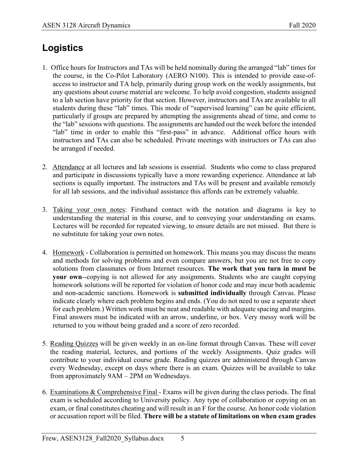# **Logistics**

- 1. Office hours for Instructors and TAs will be held nominally during the arranged "lab" times for the course, in the Co-Pilot Laboratory (AERO N100). This is intended to provide ease-ofaccess to instructor and TA help, primarily during group work on the weekly assignments, but any questions about course material are welcome. To help avoid congestion, students assigned to a lab section have priority for that section. However, instructors and TAs are available to all students during these "lab" times. This mode of "supervised learning" can be quite efficient, particularly if groups are prepared by attempting the assignments ahead of time, and come to the "lab" sessions with questions. The assignments are handed out the week before the intended "lab" time in order to enable this "first-pass" in advance. Additional office hours with instructors and TAs can also be scheduled. Private meetings with instructors or TAs can also be arranged if needed.
- 2. Attendance at all lectures and lab sessions is essential. Students who come to class prepared and participate in discussions typically have a more rewarding experience. Attendance at lab sections is equally important. The instructors and TAs will be present and available remotely for all lab sessions, and the individual assistance this affords can be extremely valuable.
- 3. Taking your own notes: Firsthand contact with the notation and diagrams is key to understanding the material in this course, and to conveying your understanding on exams. Lectures will be recorded for repeated viewing, to ensure details are not missed. But there is no substitute for taking your own notes.
- 4. Homework Collaboration is permitted on homework. This means you may discuss the means and methods for solving problems and even compare answers, but you are not free to copy solutions from classmates or from Internet resources. **The work that you turn in must be your own**--copying is not allowed for any assignments. Students who are caught copying homework solutions will be reported for violation of honor code and may incur both academic and non-academic sanctions. Homework is **submitted individually** through Canvas. Please indicate clearly where each problem begins and ends. (You do not need to use a separate sheet for each problem.) Written work must be neat and readable with adequate spacing and margins. Final answers must be indicated with an arrow, underline, or box. Very messy work will be returned to you without being graded and a score of zero recorded.
- 5. Reading Quizzes will be given weekly in an on-line format through Canvas. These will cover the reading material, lectures, and portions of the weekly Assignments. Quiz grades will contribute to your individual course grade. Reading quizzes are administered through Canvas every Wednesday, except on days where there is an exam. Quizzes will be available to take from approximately 9AM – 2PM on Wednesdays.
- 6. Examinations  $&$  Comprehensive Final Exams will be given during the class periods. The final exam is scheduled according to University policy. Any type of collaboration or copying on an exam, or final constitutes cheating and will result in an F for the course. An honor code violation or accusation report will be filed. **There will be a statute of limitations on when exam grades**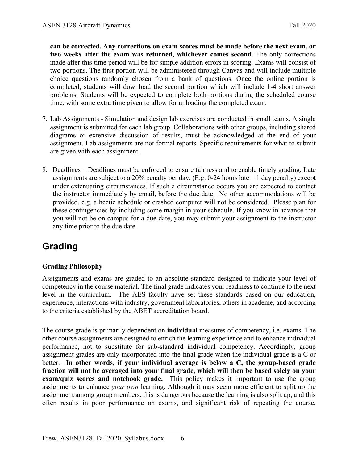**can be corrected. Any corrections on exam scores must be made before the next exam, or two weeks after the exam was returned, whichever comes second**. The only corrections made after this time period will be for simple addition errors in scoring. Exams will consist of two portions. The first portion will be administered through Canvas and will include multiple choice questions randomly chosen from a bank of questions. Once the online portion is completed, students will download the second portion which will include 1-4 short answer problems. Students will be expected to complete both portions during the scheduled course time, with some extra time given to allow for uploading the completed exam.

- 7. Lab Assignments Simulation and design lab exercises are conducted in small teams. A single assignment is submitted for each lab group. Collaborations with other groups, including shared diagrams or extensive discussion of results, must be acknowledged at the end of your assignment. Lab assignments are not formal reports. Specific requirements for what to submit are given with each assignment.
- 8. Deadlines Deadlines must be enforced to ensure fairness and to enable timely grading. Late assignments are subject to a 20% penalty per day. (E.g. 0-24 hours late  $= 1$  day penalty) except under extenuating circumstances. If such a circumstance occurs you are expected to contact the instructor immediately by email, before the due date. No other accommodations will be provided, e.g. a hectic schedule or crashed computer will not be considered. Please plan for these contingencies by including some margin in your schedule. If you know in advance that you will not be on campus for a due date, you may submit your assignment to the instructor any time prior to the due date.

## **Grading**

### **Grading Philosophy**

Assignments and exams are graded to an absolute standard designed to indicate your level of competency in the course material. The final grade indicates your readiness to continue to the next level in the curriculum. The AES faculty have set these standards based on our education, experience, interactions with industry, government laboratories, others in academe, and according to the criteria established by the ABET accreditation board.

The course grade is primarily dependent on **individual** measures of competency, i.e. exams. The other course assignments are designed to enrich the learning experience and to enhance individual performance, not to substitute for sub-standard individual competency. Accordingly, group assignment grades are only incorporated into the final grade when the individual grade is a C or better. **In other words, if your individual average is below a C, the group-based grade fraction will not be averaged into your final grade, which will then be based solely on your exam/quiz scores and notebook grade.** This policy makes it important to use the group assignments to enhance *your own* learning. Although it may seem more efficient to split up the assignment among group members, this is dangerous because the learning is also split up, and this often results in poor performance on exams, and significant risk of repeating the course.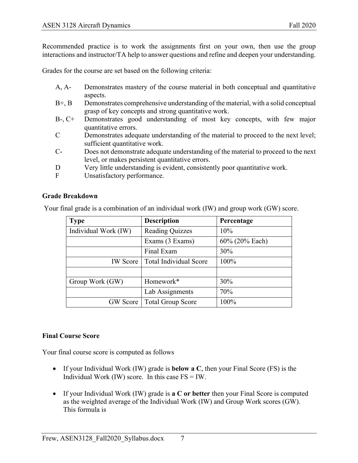Recommended practice is to work the assignments first on your own, then use the group interactions and instructor/TA help to answer questions and refine and deepen your understanding.

Grades for the course are set based on the following criteria:

- A, A- Demonstrates mastery of the course material in both conceptual and quantitative aspects.
- B+, B Demonstrates comprehensive understanding of the material, with a solid conceptual grasp of key concepts and strong quantitative work.
- B-, C+ Demonstrates good understanding of most key concepts, with few major quantitative errors.
- C Demonstrates adequate understanding of the material to proceed to the next level; sufficient quantitative work.
- C- Does not demonstrate adequate understanding of the material to proceed to the next level, or makes persistent quantitative errors.
- D Very little understanding is evident, consistently poor quantitative work.
- F Unsatisfactory performance.

### **Grade Breakdown**

Your final grade is a combination of an individual work (IW) and group work (GW) score.

| <b>Type</b>          | <b>Description</b>            | Percentage     |  |  |
|----------------------|-------------------------------|----------------|--|--|
| Individual Work (IW) | <b>Reading Quizzes</b>        | 10%            |  |  |
|                      | Exams (3 Exams)               | 60% (20% Each) |  |  |
|                      | Final Exam                    | 30%            |  |  |
| <b>IW</b> Score      | <b>Total Individual Score</b> | 100%           |  |  |
|                      |                               |                |  |  |
| Group Work (GW)      | Homework*                     | 30%            |  |  |
|                      | Lab Assignments               | 70%            |  |  |
| <b>GW</b> Score      | <b>Total Group Score</b>      | 100%           |  |  |

### **Final Course Score**

Your final course score is computed as follows

- If your Individual Work (IW) grade is **below a C**, then your Final Score (FS) is the Individual Work  $(IW)$  score. In this case  $FS = IW$ .
- If your Individual Work (IW) grade is **a C or better** then your Final Score is computed as the weighted average of the Individual Work (IW) and Group Work scores (GW). This formula is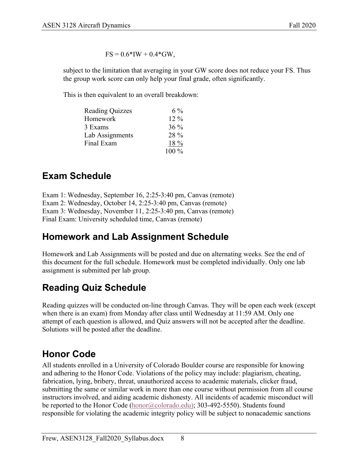$FS = 0.6*IW + 0.4*GW,$ 

subject to the limitation that averaging in your GW score does not reduce your FS. Thus the group work score can only help your final grade, often significantly.

This is then equivalent to an overall breakdown:

| <b>Reading Quizzes</b> | $6\%$   |
|------------------------|---------|
| Homework               | $12\%$  |
| 3 Exams                | $36\%$  |
| Lab Assignments        | 28 %    |
| Final Exam             | 18 %    |
|                        | $100\%$ |

# **Exam Schedule**

Exam 1: Wednesday, September 16, 2:25-3:40 pm, Canvas (remote) Exam 2: Wednesday, October 14, 2:25-3:40 pm, Canvas (remote) Exam 3: Wednesday, November 11, 2:25-3:40 pm, Canvas (remote) Final Exam: University scheduled time, Canvas (remote)

# **Homework and Lab Assignment Schedule**

Homework and Lab Assignments will be posted and due on alternating weeks. See the end of this document for the full schedule. Homework must be completed individually. Only one lab assignment is submitted per lab group.

# **Reading Quiz Schedule**

Reading quizzes will be conducted on-line through Canvas. They will be open each week (except when there is an exam) from Monday after class until Wednesday at 11:59 AM. Only one attempt of each question is allowed, and Quiz answers will not be accepted after the deadline. Solutions will be posted after the deadline.

## **Honor Code**

All students enrolled in a University of Colorado Boulder course are responsible for knowing and adhering to the Honor Code. Violations of the policy may include: plagiarism, cheating, fabrication, lying, bribery, threat, unauthorized access to academic materials, clicker fraud, submitting the same or similar work in more than one course without permission from all course instructors involved, and aiding academic dishonesty. All incidents of academic misconduct will be reported to the Honor Code (honor@colorado.edu); 303-492-5550). Students found responsible for violating the academic integrity policy will be subject to nonacademic sanctions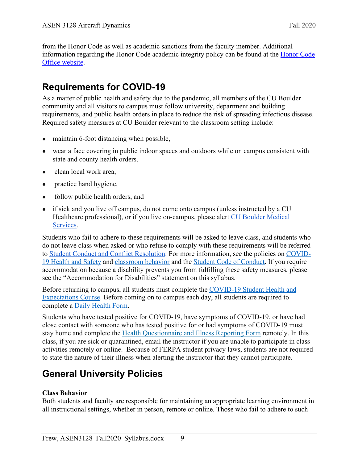from the Honor Code as well as academic sanctions from the faculty member. Additional information regarding the Honor Code academic integrity policy can be found at the Honor Code Office website.

# **Requirements for COVID-19**

As a matter of public health and safety due to the pandemic, all members of the CU Boulder community and all visitors to campus must follow university, department and building requirements, and public health orders in place to reduce the risk of spreading infectious disease. Required safety measures at CU Boulder relevant to the classroom setting include:

- maintain 6-foot distancing when possible,
- wear a face covering in public indoor spaces and outdoors while on campus consistent with state and county health orders,
- clean local work area,
- practice hand hygiene,
- follow public health orders, and
- if sick and you live off campus, do not come onto campus (unless instructed by a CU Healthcare professional), or if you live on-campus, please alert CU Boulder Medical Services.

Students who fail to adhere to these requirements will be asked to leave class, and students who do not leave class when asked or who refuse to comply with these requirements will be referred to Student Conduct and Conflict Resolution. For more information, see the policies on COVID-19 Health and Safety and classroom behavior and the Student Code of Conduct. If you require accommodation because a disability prevents you from fulfilling these safety measures, please see the "Accommodation for Disabilities" statement on this syllabus.

Before returning to campus, all students must complete the COVID-19 Student Health and Expectations Course. Before coming on to campus each day, all students are required to complete a Daily Health Form.

Students who have tested positive for COVID-19, have symptoms of COVID-19, or have had close contact with someone who has tested positive for or had symptoms of COVID-19 must stay home and complete the Health Questionnaire and Illness Reporting Form remotely. In this class, if you are sick or quarantined, email the instructor if you are unable to participate in class activities remotely or online. Because of FERPA student privacy laws, students are not required to state the nature of their illness when alerting the instructor that they cannot participate.

# **General University Policies**

### **Class Behavior**

Both students and faculty are responsible for maintaining an appropriate learning environment in all instructional settings, whether in person, remote or online. Those who fail to adhere to such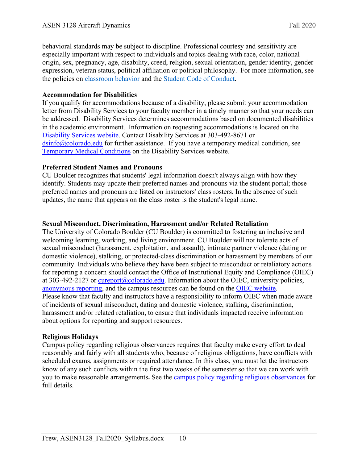behavioral standards may be subject to discipline. Professional courtesy and sensitivity are especially important with respect to individuals and topics dealing with race, color, national origin, sex, pregnancy, age, disability, creed, religion, sexual orientation, gender identity, gender expression, veteran status, political affiliation or political philosophy. For more information, see the policies on classroom behavior and the Student Code of Conduct.

### **Accommodation for Disabilities**

If you qualify for accommodations because of a disability, please submit your accommodation letter from Disability Services to your faculty member in a timely manner so that your needs can be addressed. Disability Services determines accommodations based on documented disabilities in the academic environment. Information on requesting accommodations is located on the Disability Services website. Contact Disability Services at 303-492-8671 or  $\sin 6$  ( $\alpha$ ) colorado.edu for further assistance. If you have a temporary medical condition, see Temporary Medical Conditions on the Disability Services website.

### **Preferred Student Names and Pronouns**

CU Boulder recognizes that students' legal information doesn't always align with how they identify. Students may update their preferred names and pronouns via the student portal; those preferred names and pronouns are listed on instructors' class rosters. In the absence of such updates, the name that appears on the class roster is the student's legal name.

### **Sexual Misconduct, Discrimination, Harassment and/or Related Retaliation**

The University of Colorado Boulder (CU Boulder) is committed to fostering an inclusive and welcoming learning, working, and living environment. CU Boulder will not tolerate acts of sexual misconduct (harassment, exploitation, and assault), intimate partner violence (dating or domestic violence), stalking, or protected-class discrimination or harassment by members of our community. Individuals who believe they have been subject to misconduct or retaliatory actions for reporting a concern should contact the Office of Institutional Equity and Compliance (OIEC) at 303-492-2127 or cureport@colorado.edu. Information about the OIEC, university policies, anonymous reporting, and the campus resources can be found on the OIEC website. Please know that faculty and instructors have a responsibility to inform OIEC when made aware of incidents of sexual misconduct, dating and domestic violence, stalking, discrimination, harassment and/or related retaliation, to ensure that individuals impacted receive information about options for reporting and support resources.

### **Religious Holidays**

Campus policy regarding religious observances requires that faculty make every effort to deal reasonably and fairly with all students who, because of religious obligations, have conflicts with scheduled exams, assignments or required attendance. In this class, you must let the instructors know of any such conflicts within the first two weeks of the semester so that we can work with you to make reasonable arrangements**.** See the campus policy regarding religious observances for full details.